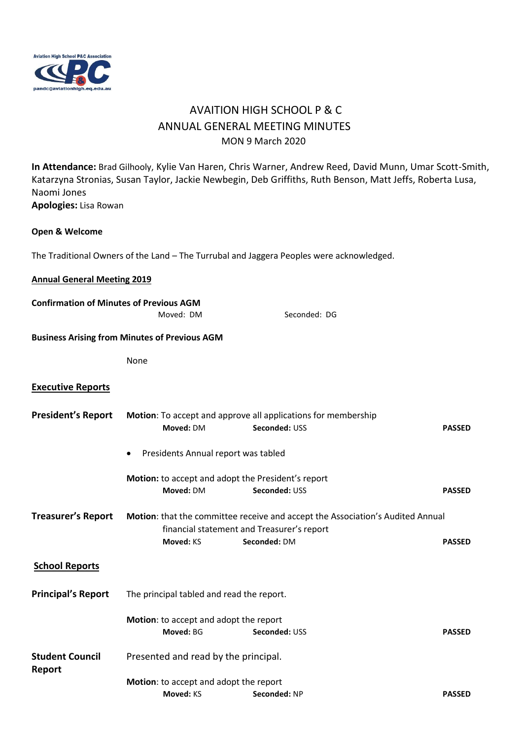

## AVAITION HIGH SCHOOL P & C ANNUAL GENERAL MEETING MINUTES MON 9 March 2020

**In Attendance:** Brad Gilhooly, Kylie Van Haren, Chris Warner, Andrew Reed, David Munn, Umar Scott-Smith, Katarzyna Stronias, Susan Taylor, Jackie Newbegin, Deb Griffiths, Ruth Benson, Matt Jeffs, Roberta Lusa, Naomi Jones **Apologies:** Lisa Rowan

## **Open & Welcome**

The Traditional Owners of the Land – The Turrubal and Jaggera Peoples were acknowledged.

## **Annual General Meeting 2019**

**Confirmation of Minutes of Previous AGM** 

|                                  | Moved: DM                                            | Seconded: DG                                                                                                                                 |               |  |
|----------------------------------|------------------------------------------------------|----------------------------------------------------------------------------------------------------------------------------------------------|---------------|--|
|                                  | <b>Business Arising from Minutes of Previous AGM</b> |                                                                                                                                              |               |  |
|                                  | None                                                 |                                                                                                                                              |               |  |
| <b>Executive Reports</b>         |                                                      |                                                                                                                                              |               |  |
| <b>President's Report</b>        | Moved: DM                                            | Motion: To accept and approve all applications for membership<br>Seconded: USS                                                               | <b>PASSED</b> |  |
|                                  | Presidents Annual report was tabled                  |                                                                                                                                              |               |  |
|                                  | Moved: DM                                            | Motion: to accept and adopt the President's report<br>Seconded: USS                                                                          | <b>PASSED</b> |  |
| <b>Treasurer's Report</b>        | Moved: KS                                            | Motion: that the committee receive and accept the Association's Audited Annual<br>financial statement and Treasurer's report<br>Seconded: DM | <b>PASSED</b> |  |
| <b>School Reports</b>            |                                                      |                                                                                                                                              |               |  |
| <b>Principal's Report</b>        | The principal tabled and read the report.            |                                                                                                                                              |               |  |
|                                  | Motion: to accept and adopt the report<br>Moved: BG  | Seconded: USS                                                                                                                                | <b>PASSED</b> |  |
| <b>Student Council</b><br>Report | Presented and read by the principal.                 |                                                                                                                                              |               |  |
|                                  | Motion: to accept and adopt the report               |                                                                                                                                              |               |  |
|                                  | Moved: KS                                            | Seconded: NP                                                                                                                                 | <b>PASSED</b> |  |